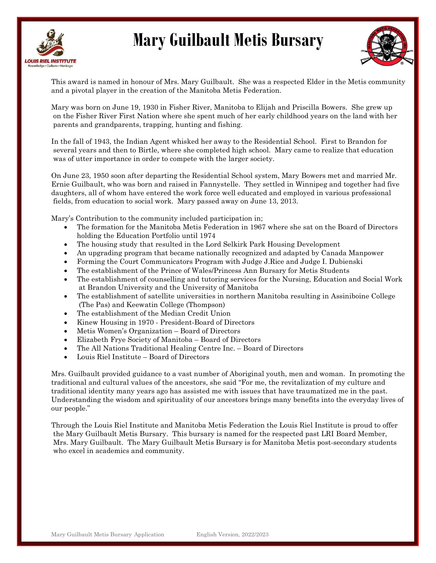



This award is named in honour of Mrs. Mary Guilbault. She was a respected Elder in the Metis community and a pivotal player in the creation of the Manitoba Metis Federation.

Mary was born on June 19, 1930 in Fisher River, Manitoba to Elijah and Priscilla Bowers. She grew up on the Fisher River First Nation where she spent much of her early childhood years on the land with her parents and grandparents, trapping, hunting and fishing.

In the fall of 1943, the Indian Agent whisked her away to the Residential School. First to Brandon for several years and then to Birtle, where she completed high school. Mary came to realize that education was of utter importance in order to compete with the larger society.

On June 23, 1950 soon after departing the Residential School system, Mary Bowers met and married Mr. Ernie Guilbault, who was born and raised in Fannystelle. They settled in Winnipeg and together had five daughters, all of whom have entered the work force well educated and employed in various professional fields, from education to social work. Mary passed away on June 13, 2013.

Mary's Contribution to the community included participation in;

- The formation for the Manitoba Metis Federation in 1967 where she sat on the Board of Directors holding the Education Portfolio until 1974
- The housing study that resulted in the Lord Selkirk Park Housing Development
- An upgrading program that became nationally recognized and adapted by Canada Manpower
- Forming the Court Communicators Program with Judge J.Rice and Judge I. Dubienski
- The establishment of the Prince of Wales/Princess Ann Bursary for Metis Students
- The establishment of counselling and tutoring services for the Nursing, Education and Social Work at Brandon University and the University of Manitoba
- The establishment of satellite universities in northern Manitoba resulting in Assiniboine College (The Pas) and Keewatin College (Thompson)
- The establishment of the Median Credit Union
- Kinew Housing in 1970 President-Board of Directors
- Metis Women's Organization Board of Directors
- Elizabeth Frye Society of Manitoba Board of Directors
- The All Nations Traditional Healing Centre Inc. Board of Directors
- Louis Riel Institute Board of Directors

Mrs. Guilbault provided guidance to a vast number of Aboriginal youth, men and woman. In promoting the traditional and cultural values of the ancestors, she said "For me, the revitalization of my culture and traditional identity many years ago has assisted me with issues that have traumatized me in the past. Understanding the wisdom and spirituality of our ancestors brings many benefits into the everyday lives of our people."

Through the Louis Riel Institute and Manitoba Metis Federation the Louis Riel Institute is proud to offer the Mary Guilbault Metis Bursary. This bursary is named for the respected past LRI Board Member, Mrs. Mary Guilbault. The Mary Guilbault Metis Bursary is for Manitoba Metis post-secondary students who excel in academics and community.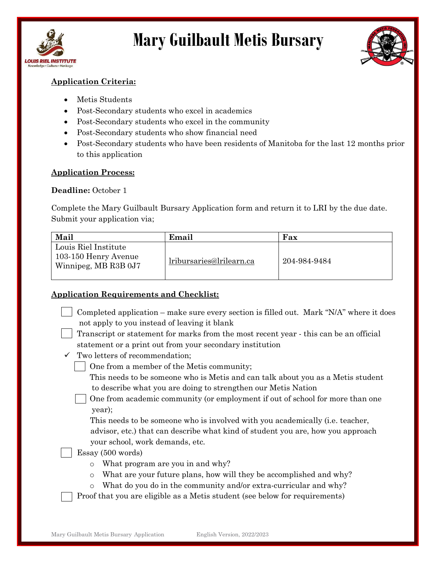



## Application Criteria:

- Metis Students
- Post-Secondary students who excel in academics
- Post-Secondary students who excel in the community
- Post-Secondary students who show financial need
- Post-Secondary students who have been residents of Manitoba for the last 12 months prior to this application

### Application Process:

#### Deadline: October 1

Complete the Mary Guilbault Bursary Application form and return it to LRI by the due date. Submit your application via;

| Mail                                                                 | Email                    | Fax          |
|----------------------------------------------------------------------|--------------------------|--------------|
| Louis Riel Institute<br>103-150 Henry Avenue<br>Winnipeg, MB R3B 0J7 | lribursaries@lrilearn.ca | 204-984-9484 |

#### Application Requirements and Checklist:

- Completed application make sure every section is filled out. Mark "N/A" where it does not apply to you instead of leaving it blank
- Transcript or statement for marks from the most recent year this can be an official statement or a print out from your secondary institution
- $\checkmark$  Two letters of recommendation;
	- One from a member of the Metis community;
		- This needs to be someone who is Metis and can talk about you as a Metis student to describe what you are doing to strengthen our Metis Nation
		- One from academic community (or employment if out of school for more than one year);

 This needs to be someone who is involved with you academically (i.e. teacher, advisor, etc.) that can describe what kind of student you are, how you approach your school, work demands, etc.

### Essay (500 words)

- o What program are you in and why?
- o What are your future plans, how will they be accomplished and why?
- o What do you do in the community and/or extra-curricular and why?
- Proof that you are eligible as a Metis student (see below for requirements)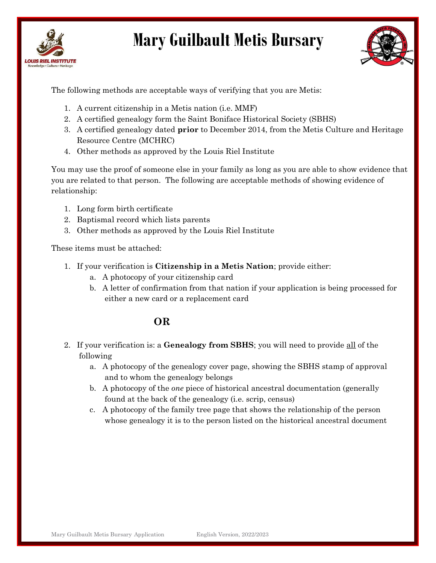



The following methods are acceptable ways of verifying that you are Metis:

- 1. A current citizenship in a Metis nation (i.e. MMF)
- 2. A certified genealogy form the Saint Boniface Historical Society (SBHS)
- 3. A certified genealogy dated prior to December 2014, from the Metis Culture and Heritage Resource Centre (MCHRC)
- 4. Other methods as approved by the Louis Riel Institute

You may use the proof of someone else in your family as long as you are able to show evidence that you are related to that person. The following are acceptable methods of showing evidence of relationship:

- 1. Long form birth certificate
- 2. Baptismal record which lists parents
- 3. Other methods as approved by the Louis Riel Institute

These items must be attached:

- 1. If your verification is Citizenship in a Metis Nation; provide either:
	- a. A photocopy of your citizenship card
	- b. A letter of confirmation from that nation if your application is being processed for either a new card or a replacement card

# OR

- 2. If your verification is: a **Genealogy from SBHS**; you will need to provide all of the following
	- a. A photocopy of the genealogy cover page, showing the SBHS stamp of approval and to whom the genealogy belongs
	- b. A photocopy of the one piece of historical ancestral documentation (generally found at the back of the genealogy (i.e. scrip, census)
	- c. A photocopy of the family tree page that shows the relationship of the person whose genealogy it is to the person listed on the historical ancestral document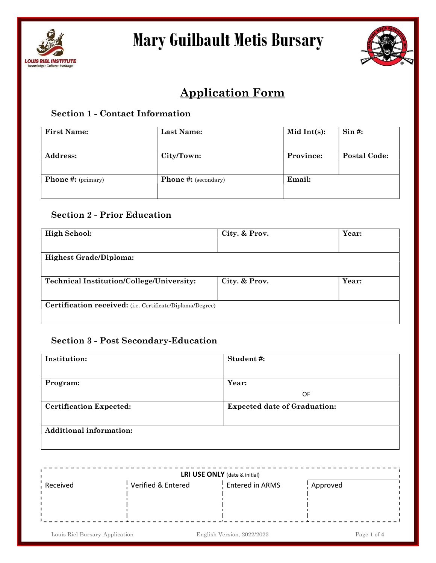



# Application Form

## Section 1 - Contact Information

| <b>First Name:</b>        | Last Name:                  | Mid Int $(s)$ : | $\sin \#$ :         |
|---------------------------|-----------------------------|-----------------|---------------------|
| <b>Address:</b>           | City/Town:                  | Province:       | <b>Postal Code:</b> |
| <b>Phone #:</b> (primary) | <b>Phone #:</b> (secondary) | Email:          |                     |

# Section 2 - Prior Education

| <b>High School:</b>                                       | City. & Prov. | Year: |
|-----------------------------------------------------------|---------------|-------|
|                                                           |               |       |
| <b>Highest Grade/Diploma:</b>                             |               |       |
|                                                           |               |       |
| <b>Technical Institution/College/University:</b>          | City. & Prov. | Year: |
|                                                           |               |       |
| Certification received: (i.e. Certificate/Diploma/Degree) |               |       |
|                                                           |               |       |

### Section 3 - Post Secondary-Education

| Institution:                   | Student#:                           |
|--------------------------------|-------------------------------------|
|                                |                                     |
| Program:                       | Year:                               |
|                                | 0F                                  |
| <b>Certification Expected:</b> | <b>Expected date of Graduation:</b> |
| <b>Additional information:</b> |                                     |

| LRI USE ONLY (date & initial) |                    |                 |                       |  |
|-------------------------------|--------------------|-----------------|-----------------------|--|
| Received                      | Verified & Entered | Entered in ARMS | <sup>1</sup> Approved |  |
|                               |                    |                 |                       |  |
|                               |                    |                 |                       |  |
|                               |                    |                 |                       |  |

Louis Riel Bursary Application English Version, 2022/2023 Page 1 of 4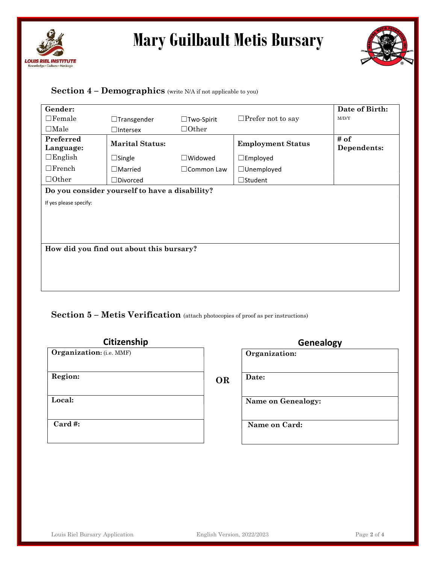



## Section  $4$  – Demographics (write N/A if not applicable to you)

| Gender:                |                                                |                      |                          | Date of Birth:      |
|------------------------|------------------------------------------------|----------------------|--------------------------|---------------------|
| $\Box$ Female          | $\Box$ Transgender                             | $\Box$ Two-Spirit    | $\Box$ Prefer not to say | M/D/Y               |
| $\Box$ Male            | $\Box$ Intersex                                | $\Box$ Other         |                          |                     |
| Preferred<br>Language: | <b>Marital Status:</b>                         |                      | <b>Employment Status</b> | # of<br>Dependents: |
| $\Box$ English         | $\Box$ Single                                  | $\Box$ Widowed       | $\square$ Employed       |                     |
| $\Box$ French          | $\Box$ Married                                 | $\square$ Common Law | $\Box$ Unemployed        |                     |
| $\Box$ Other           | $\Box$ Divorced                                |                      | $\Box$ Student           |                     |
|                        | Do you consider yourself to have a disability? |                      |                          |                     |
| If yes please specify: |                                                |                      |                          |                     |
|                        |                                                |                      |                          |                     |
|                        |                                                |                      |                          |                     |
|                        |                                                |                      |                          |                     |
|                        | How did you find out about this bursary?       |                      |                          |                     |

Section 5 – Metis Verification (attach photocopies of proof as per instructions)

| Citizenship                     |           | <b>Genealogy</b>   |
|---------------------------------|-----------|--------------------|
| <b>Organization:</b> (i.e. MMF) |           | Organization:      |
| Region:                         | <b>OR</b> | Date:              |
| Local:                          |           | Name on Genealogy: |
| $Card$ #:                       |           | Name on Card:      |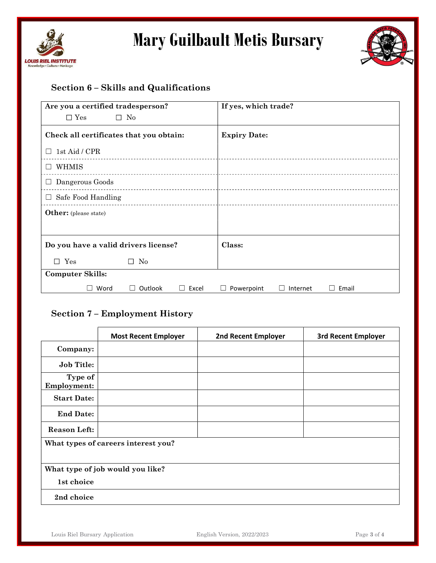



# Section 6 – Skills and Qualifications

| Are you a certified tradesperson?       |              |            | If yes, which trade? |          |       |
|-----------------------------------------|--------------|------------|----------------------|----------|-------|
| $\Box$ Yes                              | $\square$ No |            |                      |          |       |
| Check all certificates that you obtain: |              |            | <b>Expiry Date:</b>  |          |       |
| 1st Aid / CPR<br>$\perp$                |              |            |                      |          |       |
| WHMIS<br>$\perp$                        |              |            |                      |          |       |
| $\Box$ Dangerous Goods                  |              |            |                      |          |       |
| $\Box$ Safe Food Handling               |              |            |                      |          |       |
| <b>Other:</b> (please state)            |              |            |                      |          |       |
|                                         |              |            |                      |          |       |
| Do you have a valid drivers license?    |              |            | Class:               |          |       |
| $\square$ Yes                           | No<br>П      |            |                      |          |       |
| <b>Computer Skills:</b>                 |              |            |                      |          |       |
| Word                                    | Outlook      | Excel<br>ш | Powerpoint           | Internet | Email |

## Section 7 – Employment History

|                                     | <b>Most Recent Employer</b>      | <b>2nd Recent Employer</b> | <b>3rd Recent Employer</b> |
|-------------------------------------|----------------------------------|----------------------------|----------------------------|
| Company:                            |                                  |                            |                            |
| <b>Job Title:</b>                   |                                  |                            |                            |
| Type of<br><b>Employment:</b>       |                                  |                            |                            |
| <b>Start Date:</b>                  |                                  |                            |                            |
| <b>End Date:</b>                    |                                  |                            |                            |
| <b>Reason Left:</b>                 |                                  |                            |                            |
| What types of careers interest you? |                                  |                            |                            |
| 1st choice                          | What type of job would you like? |                            |                            |
| 2nd choice                          |                                  |                            |                            |